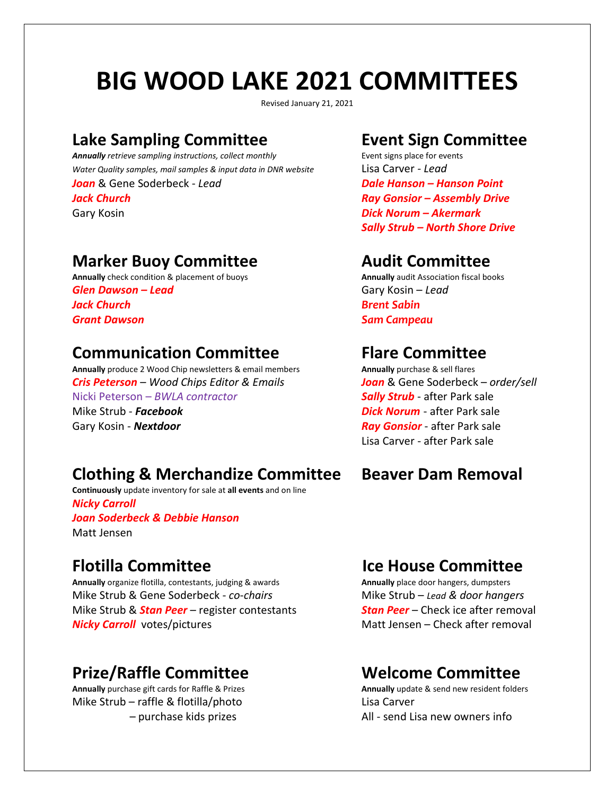## **BIG WOOD LAKE 2021 COMMITTEES**

Revised January 21, 2021

# **Lake Sampling Committee Event Sign Committee**

**Annually** retrieve sampling instructions, collect monthly *Water Quality samples, mail samples & input data in DNR website* Lisa Carver *- Lead*

# **Marker Buoy Committee**<br> **Audit Committee**<br> **Annually check condition & placement of buoys**<br> **Annually audit Association fiscal books**

**Annually** check condition & placement of buoys *Glen Dawson – Lead* Gary Kosin – *Lead Jack Church Brent Sabin Grant Dawson Sam Campeau*

## **Communication Committee**<br>**Annually produce 2** Wood Chip newsletters & email members **Annually purchase & sell flares**

**Annually** produce 2 Wood Chip newsletters & email members *Cris Peterson* – *Wood Chips Editor & Emails Joan* & Gene Soderbeck – *order/sell* Nicki Peterson – *BWLA contractor Sally Strub* - after Park sale Mike Strub - *Facebook Dick Norum* - after Park sale Gary Kosin - **Nextdoor** *Ray Gonsior* - after Park sale

### **Clothing & Merchandize Committee Beaver Dam Removal**

**Continuously** update inventory for sale at **all events** and on line *Nicky Carroll Joan Soderbeck & Debbie Hanson* Matt Jensen

**Annually** organize flotilla, contestants, judging & awards Mike Strub & Gene Soderbeck - *co-chairs* Mike Strub – *Lead & door hangers* Mike Strub & *Stan Peer* – register contestants *Stan Peer* – Check ice after removal **Nicky Carroll** votes/pictures Matt Jensen – Check after removal

## **Prize/Raffle Committee Communities Committed Committee**<br>
Annually purchase gift cards for Raffle & Prizes Annually update & send new resident folders

**Annually** purchase gift cards for Raffle & Prizes Mike Strub – raffle & flotilla/photo Lisa Carver

*Joan* & Gene Soderbeck - *Lead Dale Hanson – Hanson Point Jack Church Ray Gonsior – Assembly Drive* Gary Kosin *Dick Norum – Akermark Sally Strub – North Shore Drive*

Lisa Carver - after Park sale

## **Flotilla Committee**<br> **Flotilla Committee**<br> **Annually organize flotilla, contestants, judging & awards**<br> **Annually place door hangers, dumpsters**

- purchase kids prizes **All - send Lisa new owners info**